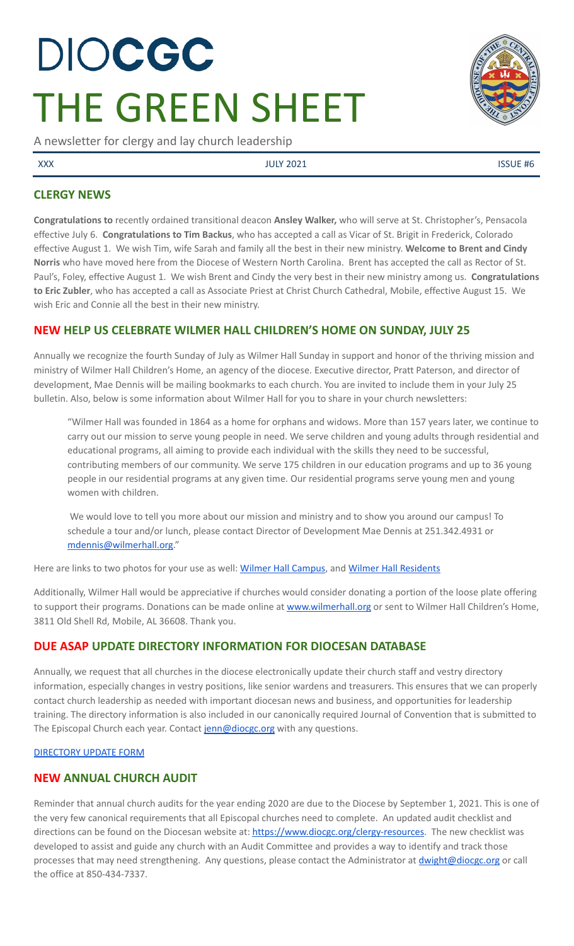# DIOCGC THE GREEN SHEET

A newsletter for clergy and lay church leadership

XXX SERVICE AND SERVICE AND SUCKED AND SUCKED USING THE SUCKED OF SUCKED AND SUCKED AND SUCKED AND SUCKED AND SUCKED AND SUCKED AND SUCKED AND SUCKED AND SUCKED AND SUCKED AND SUCKED AND SUCKED AND SUCKED AND SUCKED AND SU

# **CLERGY NEWS**

**Congratulations to** recently ordained transitional deacon **Ansley Walker,** who will serve at St. Christopher's, Pensacola effective July 6. **Congratulations to Tim Backus**, who has accepted a call as Vicar of St. Brigit in Frederick, Colorado effective August 1. We wish Tim, wife Sarah and family all the best in their new ministry. **Welcome to Brent and Cindy Norris** who have moved here from the Diocese of Western North Carolina. Brent has accepted the call as Rector of St. Paul's, Foley, effective August 1. We wish Brent and Cindy the very best in their new ministry among us. **Congratulations to Eric Zubler**, who has accepted a call as Associate Priest at Christ Church Cathedral, Mobile, effective August 15. We wish Eric and Connie all the best in their new ministry.

# **NEW HELP US CELEBRATE WILMER HALL CHILDREN'S HOME ON SUNDAY, JULY 25**

Annually we recognize the fourth Sunday of July as Wilmer Hall Sunday in support and honor of the thriving mission and ministry of Wilmer Hall Children's Home, an agency of the diocese. Executive director, Pratt Paterson, and director of development, Mae Dennis will be mailing bookmarks to each church. You are invited to include them in your July 25 bulletin. Also, below is some information about Wilmer Hall for you to share in your church newsletters:

"Wilmer Hall was founded in 1864 as a home for orphans and widows. More than 157 years later, we continue to carry out our mission to serve young people in need. We serve children and young adults through residential and educational programs, all aiming to provide each individual with the skills they need to be successful, contributing members of our community. We serve 175 children in our education programs and up to 36 young people in our residential programs at any given time. Our residential programs serve young men and young women with children.

We would love to tell you more about our mission and ministry and to show you around our campus! To schedule a tour and/or lunch, please contact Director of Development Mae Dennis at 251.342.4931 or [mdennis@wilmerhall.org.](mailto:mdennis@wilmerhall.org)"

Here are links to two photos for your use as well: Wilmer Hall [Campus,](https://drive.google.com/file/d/1yfEQQwx2M8kVCVjjOdwWlUkKR3iFocUT/view?usp=sharing) and Wilmer Hall [Residents](https://drive.google.com/file/d/1PpVXbCaQiUPD5p7WrHvkTsCMR1lg4Tuv/view?usp=sharing)

Additionally, Wilmer Hall would be appreciative if churches would consider donating a portion of the loose plate offering to support their programs. Donations can be made online at [www.wilmerhall.org](http://www.wilmerhall.org) or sent to Wilmer Hall Children's Home, 3811 Old Shell Rd, Mobile, AL 36608. Thank you.

# **DUE ASAP UPDATE DIRECTORY INFORMATION FOR DIOCESAN DATABASE**

Annually, we request that all churches in the diocese electronically update their church staff and vestry directory information, especially changes in vestry positions, like senior wardens and treasurers. This ensures that we can properly contact church leadership as needed with important diocesan news and business, and opportunities for leadership training. The directory information is also included in our canonically required Journal of Convention that is submitted to The Episcopal Church each year. Contact [jenn@diocgc.org](mailto:jenn@diocgc.org) with any questions.

#### [DIRECTORY](https://www.emailmeform.com/builder/form/eji270wUd6T49) UPDATE FORM

# **NEW ANNUAL CHURCH AUDIT**

Reminder that annual church audits for the year ending 2020 are due to the Diocese by September 1, 2021. This is one of the very few canonical requirements that all Episcopal churches need to complete. An updated audit checklist and directions can be found on the Diocesan website at: <https://www.diocgc.org/clergy-resources>. The new checklist was developed to assist and guide any church with an Audit Committee and provides a way to identify and track those processes that may need strengthening. Any questions, please contact the Administrator at *[dwight@diocgc.org](mailto:dwight@diocgc.org)* or call the office at 850-434-7337.

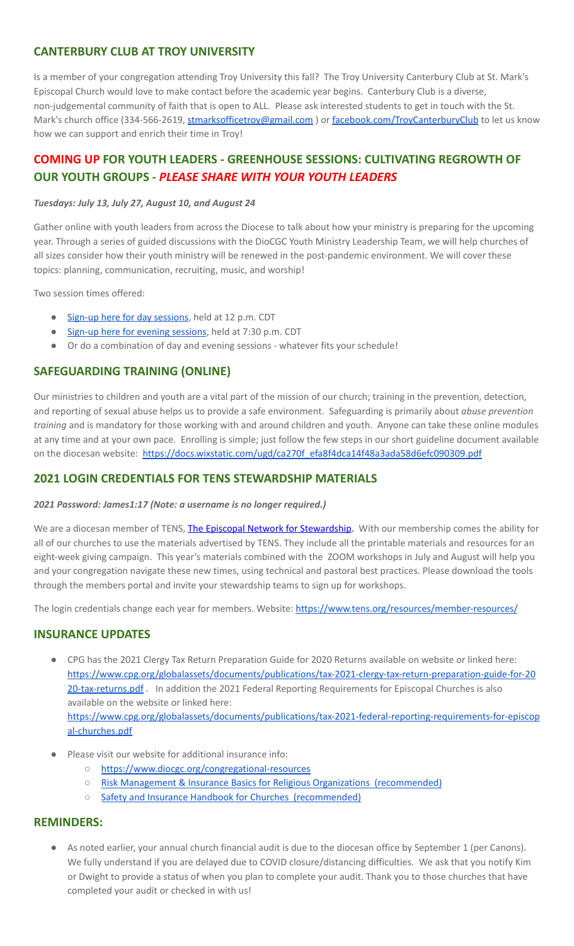# **CANTERBURY CLUB AT TROY UNIVERSITY**

Is a member of your congregation attending Troy University this fall? The Troy University Canterbury Club at St. Mark's Episcopal Church would love to make contact before the academic year begins. Canterbury Club is a diverse, non-judgemental community of faith that is open to ALL. Please ask interested students to get in touch with the St. Mark's church office (334-566-2619, [stmarksofficetroy@gmail.com](mailto:stmarksofficetroy@gmail.com)) or [facebook.com/TroyCanterburyClub](https://www.facebook.com/TroyCanterburyClub) to let us know how we can support and enrich their time in Troy!

# **COMING UP FOR YOUTH LEADERS - GREENHOUSE SESSIONS: CULTIVATING REGROWTH OF OUR YOUTH GROUPS -** *PLEASE SHARE WITH YOUR YOUTH LEADERS*

#### *Tuesdays: July 13, July 27, August 10, and August 24*

Gather online with youth leaders from across the Diocese to talk about how your ministry is preparing for the upcoming year. Through a series of guided discussions with the DioCGC Youth Ministry Leadership Team, we will help churches of all sizes consider how their youth ministry will be renewed in the post-pandemic environment. We will cover these topics: planning, communication, recruiting, music, and worship!

Two session times offered:

- Sign-up here for day [sessions](https://us02web.zoom.us/meeting/register/tZMsduiuqjIqHdXCKVTUHhq_Dszwpi5TKEjG), held at 12 p.m. CDT
- Sign-up here for evening [sessions](https://us02web.zoom.us/meeting/register/tZcqdOivpzwsGNKKON5NlRCJeFpgx3HnNqIF), held at 7:30 p.m. CDT
- Or do a combination of day and evening sessions whatever fits your schedule!

## **SAFEGUARDING TRAINING (ONLINE)**

Our ministries to children and youth are a vital part of the mission of our church; training in the prevention, detection, and reporting of sexual abuse helps us to provide a safe environment. Safeguarding is primarily about *abuse prevention training* and is mandatory for those working with and around children and youth. Anyone can take these online modules at any time and at your own pace. Enrolling is simple; just follow the few steps in our short guideline document available on the diocesan website: [https://docs.wixstatic.com/ugd/ca270f\\_efa8f4dca14f48a3ada58d6efc090309.pdf](https://docs.wixstatic.com/ugd/ca270f_efa8f4dca14f48a3ada58d6efc090309.pdf)

## **2021 LOGIN CREDENTIALS FOR TENS STEWARDSHIP MATERIALS**

#### *2021 Password: James1:17 (Note: a username is no longer required.)*

We are a diocesan member of TENS, The Episcopal Network for [Stewardship.](http://r20.rs6.net/tn.jsp?f=0012pqt_t4bfTKnRF8Xmufb-M4Ry8JkNpVzuf-DfMr466n2fJlrEabEgWXavWDn2Hx3i5ph5cMsQu0KkvBM2IIao7IcazXgBLtGdZrXLuo4poO7i2eq_EiuExGDSC-wd1a3AjKcDRDPj18=&c=9_JBIUfw9Y9WIzA02dVBmW_Dc5eF3SbOEA5-vLB-MbLj0nQWfaMvNg==&ch=bNQQUmRhILUjCbu1RkHCQ0rqqsD1-RBYprcIQ3NuhLlaKPcsXS1TyQ==) With our membership comes the ability for all of our churches to use the materials advertised by TENS. They include all the printable materials and resources for an eight-week giving campaign. This year's materials combined with the ZOOM workshops in July and August will help you and your congregation navigate these new times, using technical and pastoral best practices. Please download the tools through the members portal and invite your stewardship teams to sign up for workshops.

The login credentials change each year for members. Website: <https://www.tens.org/resources/member-resources/>

## **INSURANCE UPDATES**

- CPG has the 2021 Clergy Tax Return Preparation Guide for 2020 Returns available on website or linked here: [https://www.cpg.org/globalassets/documents/publications/tax-2021-clergy-tax-return-preparation-guide-for-20](https://www.cpg.org/globalassets/documents/publications/tax-2021-clergy-tax-return-preparation-guide-for-2020-tax-returns.pdf) [20-tax-returns.pdf](https://www.cpg.org/globalassets/documents/publications/tax-2021-clergy-tax-return-preparation-guide-for-2020-tax-returns.pdf) . In addition the 2021 Federal Reporting Requirements for Episcopal Churches is also available on the website or linked here: [https://www.cpg.org/globalassets/documents/publications/tax-2021-federal-reporting-requirements-for-episcop](https://www.cpg.org/globalassets/documents/publications/tax-2021-federal-reporting-requirements-for-episcopal-churches.pdf) [al-churches.pdf](https://www.cpg.org/globalassets/documents/publications/tax-2021-federal-reporting-requirements-for-episcopal-churches.pdf)
- Please visit our website for additional insurance info:
	- <https://www.diocgc.org/congregational-resources>
	- Risk Management & Insurance Basics for Religious Organizations [\(recommended\)](https://2f23db9c-81c0-437f-88c1-0d3b99fdb03d.filesusr.com/ugd/ca270f_0fc945a39bad470191c4075c97602c08.pdf)
	- Safety and Insurance Handbook for Churches [\(recommended\)](https://2f23db9c-81c0-437f-88c1-0d3b99fdb03d.filesusr.com/ugd/4525a9_6b89020a60b040f49e2f7feb44b56873.pdf)

#### **REMINDERS:**

As noted earlier, your annual church financial audit is due to the diocesan office by September 1 (per Canons). We fully understand if you are delayed due to COVID closure/distancing difficulties. We ask that you notify Kim or Dwight to provide a status of when you plan to complete your audit. Thank you to those churches that have completed your audit or checked in with us!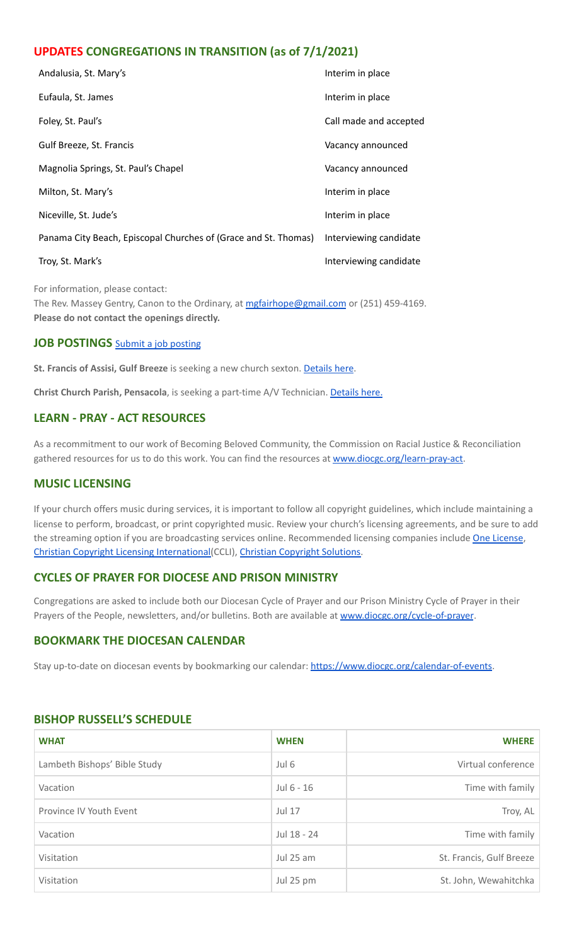# **UPDATES CONGREGATIONS IN TRANSITION (as of 7/1/2021)**

| Andalusia, St. Mary's                                           | Interim in place       |
|-----------------------------------------------------------------|------------------------|
| Eufaula, St. James                                              | Interim in place       |
| Foley, St. Paul's                                               | Call made and accepted |
| Gulf Breeze, St. Francis                                        | Vacancy announced      |
| Magnolia Springs, St. Paul's Chapel                             | Vacancy announced      |
| Milton, St. Mary's                                              | Interim in place       |
| Niceville, St. Jude's                                           | Interim in place       |
| Panama City Beach, Episcopal Churches of (Grace and St. Thomas) | Interviewing candidate |
| Troy, St. Mark's                                                | Interviewing candidate |
|                                                                 |                        |

For information, please contact: The Rev. Massey Gentry, Canon to the Ordinary, at [mgfairhope@gmail.com](mailto:mgfairhope@gmail.com) or (251) 459-4169. **Please do not contact the openings directly.**

## **JOB POSTINGS** Submit a job [posting](https://www.emailmeform.com/builder/form/0cZqC653GdH24p01aWQDfUh)

**St. Francis of Assisi, Gulf Breeze** is seeking a new church sexton. [Details](https://www.diocgc.org/post/st-francis-of-assisi-gulf-breeze-is-seeking-new-church-sexton) here.

**Christ Church Parish, Pensacola**, is seeking a part-time A/V Technician. [Details](https://christ-church.net/job-opportunities/) here.

## **LEARN - PRAY - ACT RESOURCES**

As a recommitment to our work of Becoming Beloved Community, the Commission on Racial Justice & Reconciliation gathered resources for us to do this work. You can find the resources at [www.diocgc.org/learn-pray-act.](http://www.diocgcorg/learn-pray-act)

## **MUSIC LICENSING**

If your church offers music during services, it is important to follow all copyright guidelines, which include maintaining a license to perform, broadcast, or print copyrighted music. Review your church's licensing agreements, and be sure to add the streaming option if you are broadcasting services online. Recommended licensing companies include One [License](https://onelicense.net/), Christian Copyright Licensing [International\(](https://us.ccli.com/)CCLI), Christian [Copyright](https://christiancopyrightsolutions.com/) Solutions.

## **CYCLES OF PRAYER FOR DIOCESE AND PRISON MINISTRY**

Congregations are asked to include both our Diocesan Cycle of Prayer and our Prison Ministry Cycle of Prayer in their Prayers of the People, newsletters, and/or bulletins. Both are available at [www.diocgc.org/cycle-of-prayer](http://www.diocgc.org/cycle-of-prayer).

#### **BOOKMARK THE DIOCESAN CALENDAR**

Stay up-to-date on diocesan events by bookmarking our calendar: [https://www.diocgc.org/calendar-of-events.](https://www.diocgc.org/calendar-of-events)

| <b>WHAT</b>                  | <b>WHEN</b>  | <b>WHERE</b>             |
|------------------------------|--------------|--------------------------|
| Lambeth Bishops' Bible Study | Jul 6        | Virtual conference       |
| Vacation                     | Jul $6 - 16$ | Time with family         |
| Province IV Youth Event      | Jul 17       | Troy, AL                 |
| Vacation                     | Jul 18 - 24  | Time with family         |
| Visitation                   | Jul 25 am    | St. Francis, Gulf Breeze |
| Visitation                   | Jul 25 pm    | St. John, Wewahitchka    |

#### **BISHOP RUSSELL'S SCHEDULE**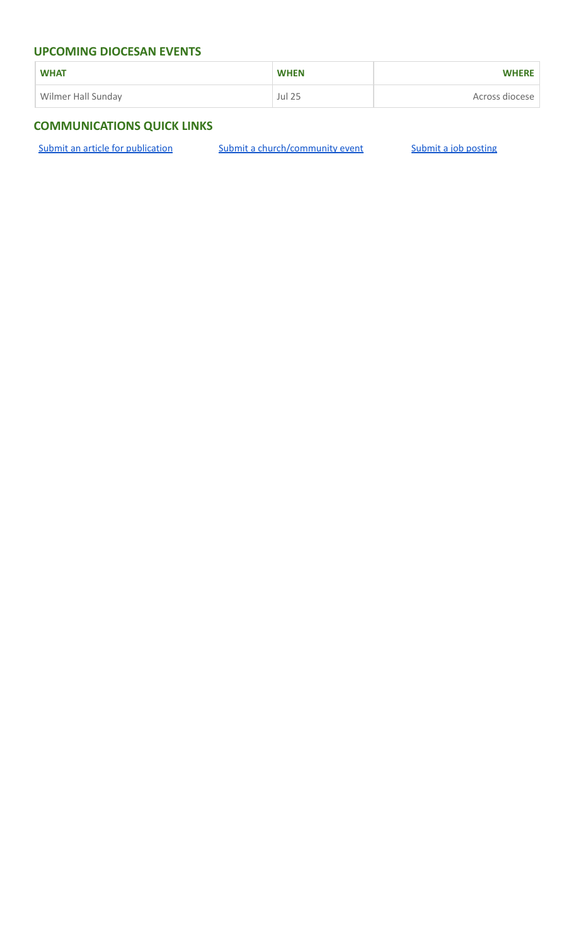## **UPCOMING DIOCESAN EVENTS**

| <b>WHAT</b>        | <b>WHEN</b>   | <b>WHERE</b>   |
|--------------------|---------------|----------------|
| Wilmer Hall Sunday | <b>Jul 25</b> | Across diocese |

# **COMMUNICATIONS QUICK LINKS**

Submit an article for [publication](http://www.emailmeform.com/builder/form/XqOP984Ae60c8m6ynr) Submit a [church/community](http://www.emailmeform.com/builder/form/eOM4Bb6VTb78y20Wrapf8) event Submit a job [posting](https://www.emailmeform.com/builder/form/0cZqC653GdH24p01aWQDfUh)